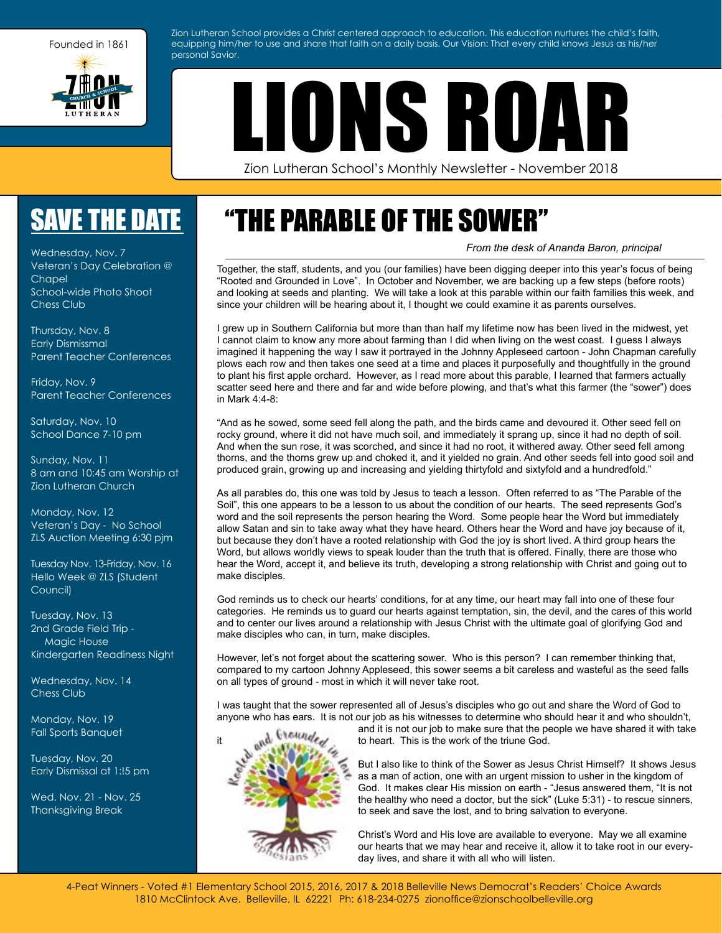

Zion Lutheran School provides a Christ centered approach to education. This education nurtures the child's faith, equipping him/her to use and share that faith on a daily basis. Our Vision: That every child knows Jesus as his/her personal Savior.

LIONS ROAR

Zion Lutheran School's Monthly Newsletter - November 2018

## [SAVE THE DATE](http://zionschoolbelleville.org/home-links/school-calendar/)

Wednesday, Nov. 7 Veteran's Day Celebration @ Chapel School-wide Photo Shoot Chess Club

Thursday, Nov. 8 Early Dismissmal Parent Teacher Conferences

Friday, Nov. 9 Parent Teacher Conferences

Saturday, Nov. 10 School Dance 7-10 pm

Sunday, Nov. 11 8 am and 10:45 am Worship at Zion Lutheran Church

Monday, Nov. 12 Veteran's Day - No School ZLS Auction Meeting 6:30 pjm

Tuesday Nov. 13-Friday, Nov. 16 Hello Week @ ZLS (Student Council)

Tuesday, Nov. 13 2nd Grade Field Trip - Magic House Kindergarten Readiness Night

Wednesday, Nov. 14 Chess Club

Monday, Nov. 19 Fall Sports Banquet

Tuesday, Nov. 20 Early Dismissal at 1:!5 pm

Wed, Nov. 21 - Nov. 25 Thanksgiving Break

# "THE PARABLE OF THE SOWER"

*From the desk of Ananda Baron, principal*

Together, the staff, students, and you (our families) have been digging deeper into this year's focus of being "Rooted and Grounded in Love". In October and November, we are backing up a few steps (before roots) and looking at seeds and planting. We will take a look at this parable within our faith families this week, and since your children will be hearing about it, I thought we could examine it as parents ourselves.

I grew up in Southern California but more than than half my lifetime now has been lived in the midwest, yet I cannot claim to know any more about farming than I did when living on the west coast. I guess I always imagined it happening the way I saw it portrayed in the Johnny Appleseed cartoon - John Chapman carefully plows each row and then takes one seed at a time and places it purposefully and thoughtfully in the ground to plant his first apple orchard. However, as I read more about this parable, I learned that farmers actually scatter seed here and there and far and wide before plowing, and that's what this farmer (the "sower") does in Mark 4:4-8:

"And as he sowed, some seed fell along the path, and the birds came and devoured it. Other seed fell on rocky ground, where it did not have much soil, and immediately it sprang up, since it had no depth of soil. And when the sun rose, it was scorched, and since it had no root, it withered away. Other seed fell among thorns, and the thorns grew up and choked it, and it yielded no grain. And other seeds fell into good soil and produced grain, growing up and increasing and yielding thirtyfold and sixtyfold and a hundredfold."

As all parables do, this one was told by Jesus to teach a lesson. Often referred to as "The Parable of the Soil", this one appears to be a lesson to us about the condition of our hearts. The seed represents God's word and the soil represents the person hearing the Word. Some people hear the Word but immediately allow Satan and sin to take away what they have heard. Others hear the Word and have joy because of it, but because they don't have a rooted relationship with God the joy is short lived. A third group hears the Word, but allows worldly views to speak louder than the truth that is offered. Finally, there are those who hear the Word, accept it, and believe its truth, developing a strong relationship with Christ and going out to make disciples.

God reminds us to check our hearts' conditions, for at any time, our heart may fall into one of these four categories. He reminds us to guard our hearts against temptation, sin, the devil, and the cares of this world and to center our lives around a relationship with Jesus Christ with the ultimate goal of glorifying God and make disciples who can, in turn, make disciples.

However, let's not forget about the scattering sower. Who is this person? I can remember thinking that, compared to my cartoon Johnny Appleseed, this sower seems a bit careless and wasteful as the seed falls on all types of ground - most in which it will never take root.

I was taught that the sower represented all of Jesus's disciples who go out and share the Word of God to anyone who has ears. It is not our job as his witnesses to determine who should hear it and who shouldn't,



and it is not our job to make sure that the people we have shared it with take it to heart. This is the work of the triune God.

> But I also like to think of the Sower as Jesus Christ Himself? It shows Jesus as a man of action, one with an urgent mission to usher in the kingdom of God. It makes clear His mission on earth - "Jesus answered them, "It is not the healthy who need a doctor, but the sick" (Luke 5:31) - to rescue sinners, to seek and save the lost, and to bring salvation to everyone.

Christ's Word and His love are available to everyone. May we all examine our hearts that we may hear and receive it, allow it to take root in our everyday lives, and share it with all who will listen.

[4-Peat Winners - Voted #1 Elementary School 2015, 2016, 2017 & 2018 Belleville News Democrat's Readers' Choice Awards](http://www.zionschoolbelleville.org) 1810 McClintock Ave. Belleville, IL 62221 Ph: 618-234-0275 zionoffice@zionschoolbelleville.org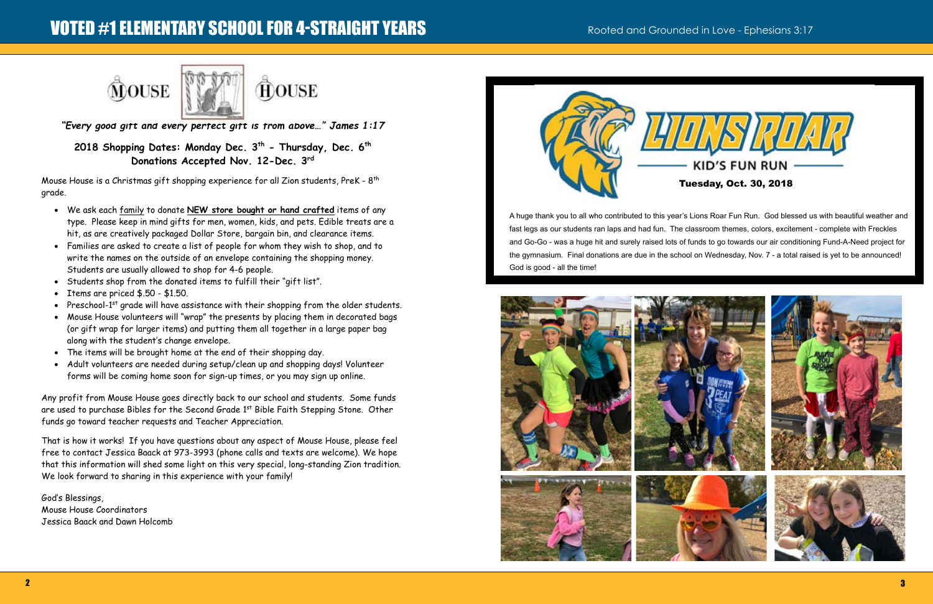# VOTED #1 ELEMENTARY SCHOOL FOR 4-STRAIGHT YEARS Rooted and Grounded in Love - Ephesians 3:17





**THOUSE** 

A huge thank you to all who contributed to this year's Lions Roar Fun Run. God blessed us with beautiful weather and fast legs as our students ran laps and had fun. The classroom themes, colors, excitement - complete with Freckles and Go-Go - was a huge hit and surely raised lots of funds to go towards our air conditioning Fund-A-Need project for the gymnasium. Final donations are due in the school on Wednesday, Nov. 7 - a total raised is yet to be announced! God is good - all the time!





Mouse House is a Christmas gift shopping experience for all Zion students, PreK - 8<sup>th</sup> grade.

*"Every good gift and every perfect gift is from above…" James 1:17*

### **2018 Shopping Dates: Monday Dec. 3th - Thursday, Dec. 6th Donations Accepted Nov. 12-Dec. 3rd**

- We ask each family to donate **NEW store bought or hand crafted** items of any type. Please keep in mind gifts for men, women, kids, and pets. Edible treats are a hit, as are creatively packaged Dollar Store, bargain bin, and clearance items.
- Families are asked to create a list of people for whom they wish to shop, and to write the names on the outside of an envelope containing the shopping money. Students are usually allowed to shop for 4-6 people.
- Students shop from the donated items to fulfill their "gift list".
- Items are priced \$.50 \$1.50.
- Preschool-1<sup>st</sup> grade will have assistance with their shopping from the older students.
- Mouse House volunteers will "wrap" the presents by placing them in decorated bags (or gift wrap for larger items) and putting them all together in a large paper bag along with the student's change envelope.
- The items will be brought home at the end of their shopping day.
- Adult volunteers are needed during setup/clean up and shopping days! Volunteer forms will be coming home soon for sign-up times, or you may sign up online.

Any profit from Mouse House goes directly back to our school and students. Some funds are used to purchase Bibles for the Second Grade 1<sup>st</sup> Bible Faith Stepping Stone. Other funds go toward teacher requests and Teacher Appreciation.

That is how it works! If you have questions about any aspect of Mouse House, please feel free to contact Jessica Baack at 973-3993 (phone calls and texts are welcome). We hope that this information will shed some light on this very special, long-standing Zion tradition. We look forward to sharing in this experience with your family!

God's Blessings, Mouse House Coordinators Jessica Baack and Dawn Holcomb

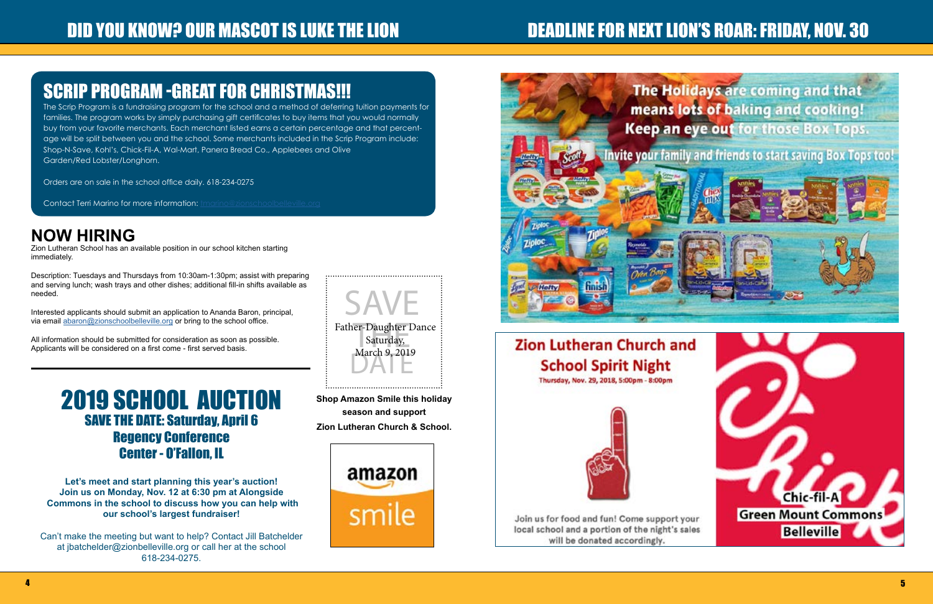# "And you know? Our mascot is luke the Lion god the name of the name of the Next Lion's Roar: Friday, Nov. 30 gi

# [SCRIP PROGRAM -GREAT FOR CHRISTMAS!!!](http://zionschoolbelleville.org/parent-corner/script/)

The Scrip Program is a fundraising program for the school and a method of deferring tuition payments for families. The program works by simply purchasing gift certificates to buy items that you would normally buy from your favorite merchants. Each merchant listed earns a certain percentage and that percentage will be split between you and the school. Some merchants included in the Scrip Program include: Shop-N-Save, Kohl's, Chick-Fil-A, Wal-Mart, Panera Bread Co., Applebees and Olive Garden/Red Lobster/Longhorn.

Orders are on sale in the school office daily. 618-234-0275

Contact Terri Marino for more information: *[tmarino@zionschoolbelleville.org](http://mailto:tmarino@zionschoolbelleville.org)* 

Interested applicants should submit an application to Ananda Baron, principal, via email [abaron@zionschoolbelleville.org](http://abaron@zionschoolbelleville.org) or bring to the school office.



**Shop Amazon Smile this holiday season and support Zion Lutheran Church & School.** 





# **Zion Lutheran Church and School Spirit Night**

Thursday, Nov. 29, 2018, 5:00pm - 8:00pm



Join us for food and fun! Come support your local school and a portion of the night's sales will be donated accordingly.



## 2019 SCHOOL AUCTION SAVE THE DATE: Saturday, April 6 Regency Conference Center - O'Fallon, IL

**Let's meet and start planning this year's auction! Join us on Monday, Nov. 12 at 6:30 pm at Alongside Commons in the school to discuss how you can help with our school's largest fundraiser!**

Can't make the meeting but want to help? Contact Jill Batchelder at jbatchelder@zionbelleville.org or call her at the school 618-234-0275.

## **NOW HIRING**

Zion Lutheran School has an available position in our school kitchen starting immediately.

Description: Tuesdays and Thursdays from 10:30am-1:30pm; assist with preparing and serving lunch; wash trays and other dishes; additional fill-in shifts available as needed.

All information should be submitted for consideration as soon as possible. Applicants will be considered on a first come - first served basis.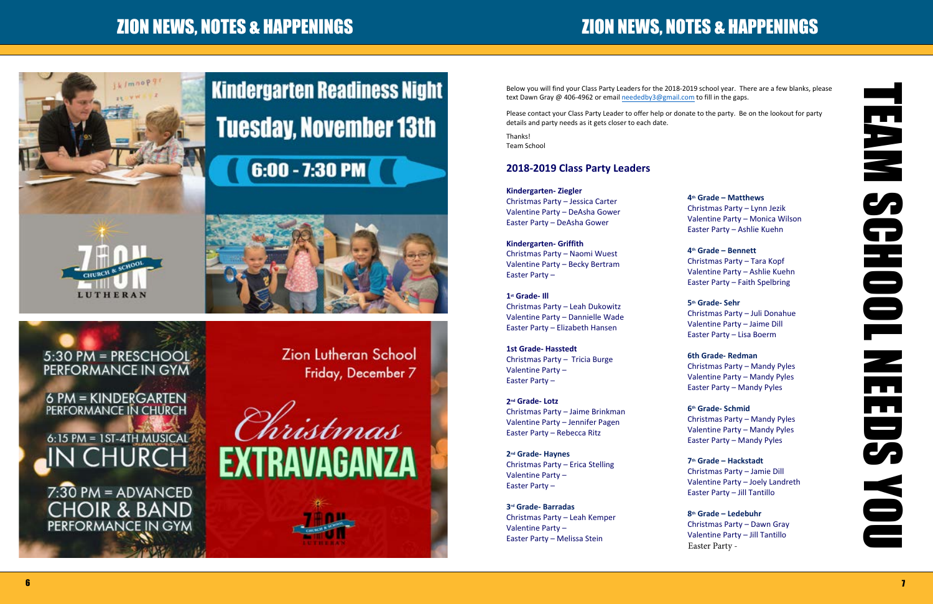# ZION NEWS, NOTES & HAPPENINGS COMMUNITY COMMUNITY AND REWS, NOTES & HAPPENINGS



# **Kindergarten Readiness Night Tuesday, November 13th**

# $6:00 - 7:30$  PM



5:30 PM = PRESCHOOL PERFORMANCE IN GYM

6 PM = KINDERGARTEN PERFORMANCE IN CHURCH 6:15 PM = 1ST-4TH MUSICAL N CHURCH

 $7:30$  PM = ADVANCED **CHOIR & BAND** PERFORMANCE IN GYM

**Zion Lutheran School** Friday, December 7



Below you will find your Class Party Leaders for the 2018-2019 school year. There are a few blanks, please text Dawn Gray @ 406-4962 or email neededby3@gmail.com to fill in the gaps.

Please contact your Class Party Leader to offer help or donate to the party. Be on the lookout for party details and party needs as it gets closer to each date.

Thanks! Team School

#### **2018-2019 Class Party Leaders**

**Kindergarten- Ziegler** Christmas Party – Jessica Carter Valentine Party – DeAsha Gower Easter Party – DeAsha Gower

**Kindergarten- Griffith** Christmas Party – Naomi Wuest Valentine Party – Becky Bertram Easter Party –

**1st Grade- Ill** Christmas Party – Leah Dukowitz Valentine Party – Dannielle Wade Easter Party – Elizabeth Hansen

**1st Grade- Hasstedt** Christmas Party – Tricia Burge Valentine Party – Easter Party –

**2nd Grade- Lotz** Christmas Party – Jaime Brinkman Valentine Party – Jennifer Pagen Easter Party – Rebecca Ritz

**2nd Grade- Haynes** Christmas Party – Erica Stelling Valentine Party – Easter Party –

**3rd Grade- Barradas** Christmas Party – Leah Kemper Valentine Party – Easter Party – Melissa Stein

**4th Grade – Matthews** Christmas Party – Lynn Jezik

Valentine Party – Monica Wilson Easter Party – Ashlie Kuehn

**4th Grade – Bennett**

Christmas Party – Tara Kopf Valentine Party – Ashlie Kuehn Easter Party – Faith Spelbring

**5th Grade- Sehr**

Christmas Party – Juli Donahue Valentine Party – Jaime Dill Easter Party – Lisa Boerm

**6th Grade- Redman**

Christmas Party – Mandy Pyles Valentine Party – Mandy Pyles Easter Party – Mandy Pyles

**6th Grade- Schmid**

Christmas Party – Mandy Pyles Valentine Party – Mandy Pyles Easter Party – Mandy Pyles

**7th Grade – Hackstadt** Christmas Party – Jamie Dill Valentine Party – Joely Landreth Easter Party – Jill Tantillo

**8th Grade – Ledebuhr** Christmas Party – Dawn Gray Valentine Party – Jill Tantillo Easter Party -

**TEAM SCHOOL NEEDS YOU** E<br>S **HODE**  $\frac{1}{\sqrt{2}}$ nn.  $\overline{\mathbf{z}}$ S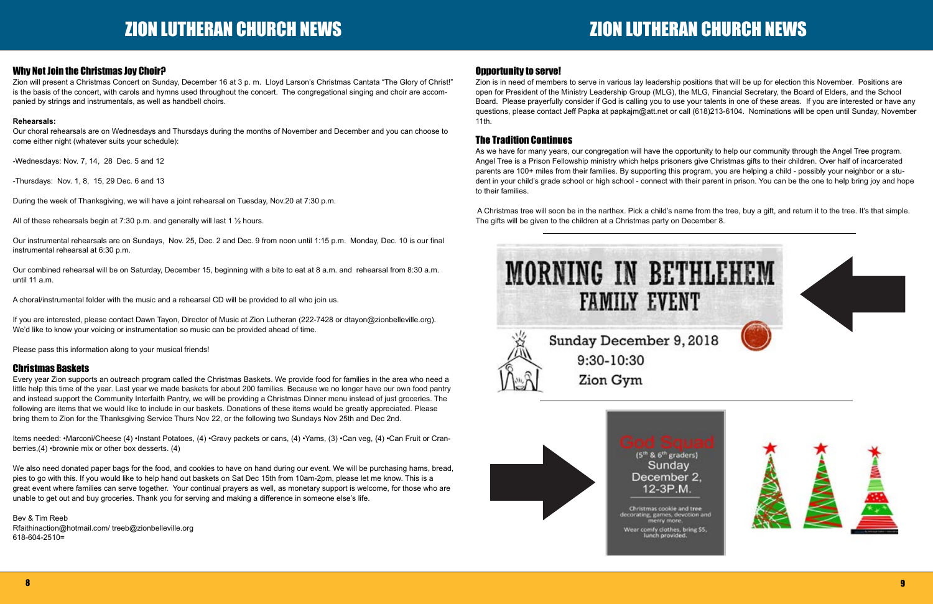#### Why Not Join the Christmas Joy Choir?

Zion will present a Christmas Concert on Sunday, December 16 at 3 p. m. Lloyd Larson's Christmas Cantata "The Glory of Christ!" is the basis of the concert, with carols and hymns used throughout the concert. The congregational singing and choir are accompanied by strings and instrumentals, as well as handbell choirs.

#### **Rehearsals:**

Our choral rehearsals are on Wednesdays and Thursdays during the months of November and December and you can choose to come either night (whatever suits your schedule):

-Wednesdays: Nov. 7, 14, 28 Dec. 5 and 12

-Thursdays: Nov. 1, 8, 15, 29 Dec. 6 and 13

During the week of Thanksgiving, we will have a joint rehearsal on Tuesday, Nov.20 at 7:30 p.m.

All of these rehearsals begin at 7:30 p.m. and generally will last 1 ½ hours.

Our instrumental rehearsals are on Sundays, Nov. 25, Dec. 2 and Dec. 9 from noon until 1:15 p.m. Monday, Dec. 10 is our final instrumental rehearsal at 6:30 p.m.

Our combined rehearsal will be on Saturday, December 15, beginning with a bite to eat at 8 a.m. and rehearsal from 8:30 a.m. until 11 a.m.

A choral/instrumental folder with the music and a rehearsal CD will be provided to all who join us.

If you are interested, please contact Dawn Tayon, Director of Music at Zion Lutheran (222-7428 or dtayon@zionbelleville.org). We'd like to know your voicing or instrumentation so music can be provided ahead of time.

Please pass this information along to your musical friends!

#### Christmas Baskets

Every year Zion supports an outreach program called the Christmas Baskets. We provide food for families in the area who need a little help this time of the year. Last year we made baskets for about 200 families. Because we no longer have our own food pantry and instead support the Community Interfaith Pantry, we will be providing a Christmas Dinner menu instead of just groceries. The following are items that we would like to include in our baskets. Donations of these items would be greatly appreciated. Please bring them to Zion for the Thanksgiving Service Thurs Nov 22, or the following two Sundays Nov 25th and Dec 2nd.

Items needed: •Marconi/Cheese (4) •Instant Potatoes, (4) •Gravy packets or cans, (4) •Yams, (3) •Can veg, {4) •Can Fruit or Cranberries,(4) •brownie mix or other box desserts. (4)

We also need donated paper bags for the food, and cookies to have on hand during our event. We will be purchasing hams, bread, pies to go with this. If you would like to help hand out baskets on Sat Dec 15th from 10am-2pm, please let me know. This is a great event where families can serve together. Your continual prayers as well, as monetary support is welcome, for those who are unable to get out and buy groceries. Thank you for serving and making a difference in someone else's life.

Bev & Tim Reeb Rfaithinaction@hotmail.com/ treeb@zionbelleville.org 618-604-2510=

### Opportunity to serve!

Zion is in need of members to serve in various lay leadership positions that will be up for election this November. Positions are open for President of the Ministry Leadership Group (MLG), the MLG, Financial Secretary, the Board of Elders, and the School Board. Please prayerfully consider if God is calling you to use your talents in one of these areas. If you are interested or have any questions, please contact Jeff Papka at papkajm@att.net or call (618)213-6104. Nominations will be open until Sunday, November 11th.

#### The Tradition Continues

As we have for many years, our congregation will have the opportunity to help our community through the Angel Tree program. Angel Tree is a Prison Fellowship ministry which helps prisoners give Christmas gifts to their children. Over half of incarcerated parents are 100+ miles from their families. By supporting this program, you are helping a child - possibly your neighbor or a student in your child's grade school or high school - connect with their parent in prison. You can be the one to help bring joy and hope to their families.

 A Christmas tree will soon be in the narthex. Pick a child's name from the tree, buy a gift, and return it to the tree. It's that simple. The gifts will be given to the children at a Christmas party on December 8.

# **MORNING IN BETHLEHEM FAMILY EVENT**



Sunday December 9, 2018 9:30-10:30 Zion Gym



### (5<sup>th</sup> & 6<sup>th</sup> graders) Sunday December 2. 12-3P.M.

Christmas cookie and tree orating, games, devotion and Wear comfy clothes, bring \$5,<br>lunch provided.